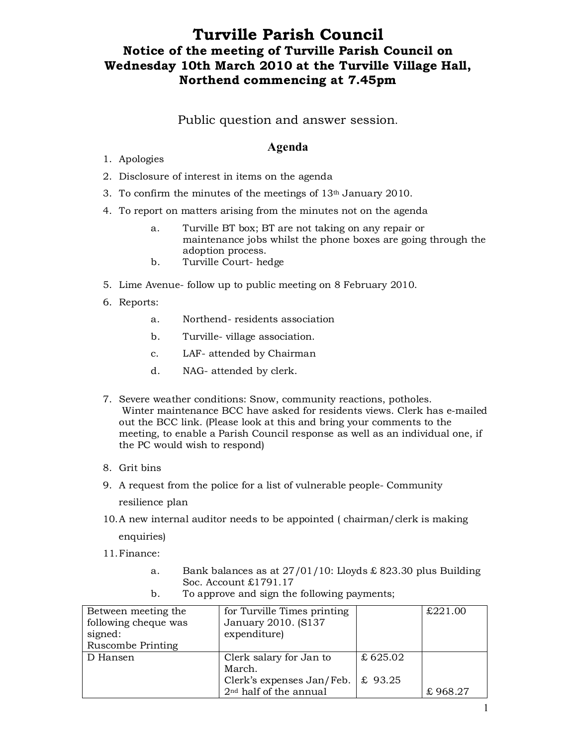## **Turville Parish Council Notice of the meeting of Turville Parish Council on Wednesday 10th March 2010 at the Turville Village Hall, Northend commencing at 7.45pm**

## Public question and answer session.

## **Agenda**

- 1. Apologies
- 2. Disclosure of interest in items on the agenda
- 3. To confirm the minutes of the meetings of 13th January 2010.
- 4. To report on matters arising from the minutes not on the agenda
	- a. Turville BT box; BT are not taking on any repair or maintenance jobs whilst the phone boxes are going through the adoption process.
	- b. Turville Court- hedge
- 5. Lime Avenue- follow up to public meeting on 8 February 2010.
- 6. Reports:
	- a. Northend- residents association
	- b. Turville- village association.
	- c. LAF- attended by Chairman
	- d. NAG- attended by clerk.
- 7. Severe weather conditions: Snow, community reactions, potholes. Winter maintenance BCC have asked for residents views. Clerk has e-mailed out the BCC link. (Please look at this and bring your comments to the meeting, to enable a Parish Council response as well as an individual one, if the PC would wish to respond)
- 8. Grit bins
- 9. A request from the police for a list of vulnerable people- Community resilience plan
- 10.A new internal auditor needs to be appointed ( chairman/clerk is making

enquiries)

- 11.Finance:
	- a. Bank balances as at  $27/01/10$ : Lloyds £ 823.30 plus Building Soc. Account £1791.17

| Between meeting the.<br>following cheque was<br>signed:<br>Ruscombe Printing | for Turville Times printing<br>January 2010. (S137<br>expenditure)                                   |                    | £221.00 |
|------------------------------------------------------------------------------|------------------------------------------------------------------------------------------------------|--------------------|---------|
| D Hansen                                                                     | Clerk salary for Jan to<br>March.<br>Clerk's expenses Jan/Feb.<br>2 <sup>nd</sup> half of the annual | £625.02<br>£ 93.25 | £968.27 |

b. To approve and sign the following payments;